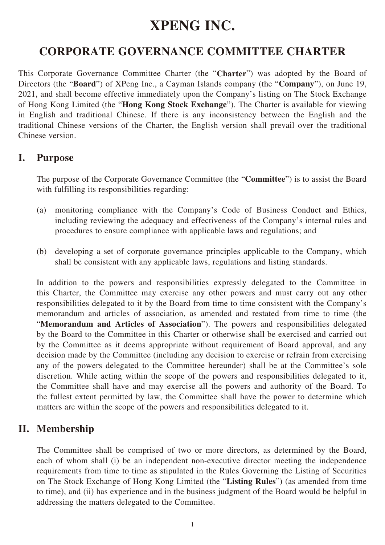# **XPENG INC.**

# **CORPORATE GOVERNANCE COMMITTEE CHARTER**

This Corporate Governance Committee Charter (the "**Charter**") was adopted by the Board of Directors (the "**Board**") of XPeng Inc., a Cayman Islands company (the "**Company**"), on June 19, 2021, and shall become effective immediately upon the Company's listing on The Stock Exchange of Hong Kong Limited (the "**Hong Kong Stock Exchange**"). The Charter is available for viewing in English and traditional Chinese. If there is any inconsistency between the English and the traditional Chinese versions of the Charter, the English version shall prevail over the traditional Chinese version.

## **I. Purpose**

The purpose of the Corporate Governance Committee (the "**Committee**") is to assist the Board with fulfilling its responsibilities regarding:

- (a) monitoring compliance with the Company's Code of Business Conduct and Ethics, including reviewing the adequacy and effectiveness of the Company's internal rules and procedures to ensure compliance with applicable laws and regulations; and
- (b) developing a set of corporate governance principles applicable to the Company, which shall be consistent with any applicable laws, regulations and listing standards.

In addition to the powers and responsibilities expressly delegated to the Committee in this Charter, the Committee may exercise any other powers and must carry out any other responsibilities delegated to it by the Board from time to time consistent with the Company's memorandum and articles of association, as amended and restated from time to time (the "**Memorandum and Articles of Association**"). The powers and responsibilities delegated by the Board to the Committee in this Charter or otherwise shall be exercised and carried out by the Committee as it deems appropriate without requirement of Board approval, and any decision made by the Committee (including any decision to exercise or refrain from exercising any of the powers delegated to the Committee hereunder) shall be at the Committee's sole discretion. While acting within the scope of the powers and responsibilities delegated to it, the Committee shall have and may exercise all the powers and authority of the Board. To the fullest extent permitted by law, the Committee shall have the power to determine which matters are within the scope of the powers and responsibilities delegated to it.

# **II. Membership**

The Committee shall be comprised of two or more directors, as determined by the Board, each of whom shall (i) be an independent non-executive director meeting the independence requirements from time to time as stipulated in the Rules Governing the Listing of Securities on The Stock Exchange of Hong Kong Limited (the "**Listing Rules**") (as amended from time to time), and (ii) has experience and in the business judgment of the Board would be helpful in addressing the matters delegated to the Committee.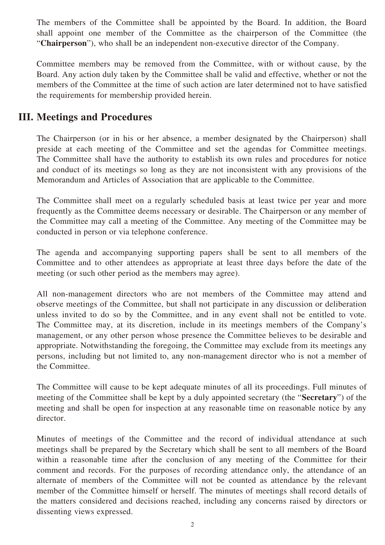The members of the Committee shall be appointed by the Board. In addition, the Board shall appoint one member of the Committee as the chairperson of the Committee (the "**Chairperson**"), who shall be an independent non-executive director of the Company.

Committee members may be removed from the Committee, with or without cause, by the Board. Any action duly taken by the Committee shall be valid and effective, whether or not the members of the Committee at the time of such action are later determined not to have satisfied the requirements for membership provided herein.

# **III. Meetings and Procedures**

The Chairperson (or in his or her absence, a member designated by the Chairperson) shall preside at each meeting of the Committee and set the agendas for Committee meetings. The Committee shall have the authority to establish its own rules and procedures for notice and conduct of its meetings so long as they are not inconsistent with any provisions of the Memorandum and Articles of Association that are applicable to the Committee.

The Committee shall meet on a regularly scheduled basis at least twice per year and more frequently as the Committee deems necessary or desirable. The Chairperson or any member of the Committee may call a meeting of the Committee. Any meeting of the Committee may be conducted in person or via telephone conference.

The agenda and accompanying supporting papers shall be sent to all members of the Committee and to other attendees as appropriate at least three days before the date of the meeting (or such other period as the members may agree).

All non-management directors who are not members of the Committee may attend and observe meetings of the Committee, but shall not participate in any discussion or deliberation unless invited to do so by the Committee, and in any event shall not be entitled to vote. The Committee may, at its discretion, include in its meetings members of the Company's management, or any other person whose presence the Committee believes to be desirable and appropriate. Notwithstanding the foregoing, the Committee may exclude from its meetings any persons, including but not limited to, any non-management director who is not a member of the Committee.

The Committee will cause to be kept adequate minutes of all its proceedings. Full minutes of meeting of the Committee shall be kept by a duly appointed secretary (the "**Secretary**") of the meeting and shall be open for inspection at any reasonable time on reasonable notice by any director.

Minutes of meetings of the Committee and the record of individual attendance at such meetings shall be prepared by the Secretary which shall be sent to all members of the Board within a reasonable time after the conclusion of any meeting of the Committee for their comment and records. For the purposes of recording attendance only, the attendance of an alternate of members of the Committee will not be counted as attendance by the relevant member of the Committee himself or herself. The minutes of meetings shall record details of the matters considered and decisions reached, including any concerns raised by directors or dissenting views expressed.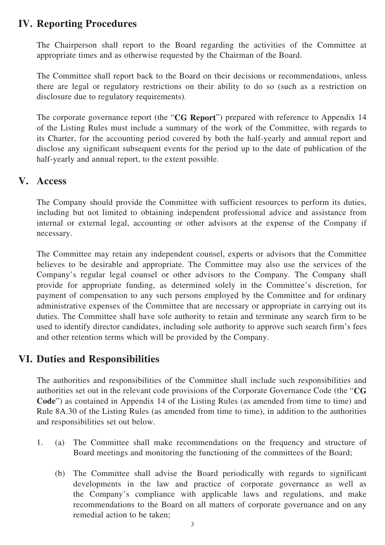# **IV. Reporting Procedures**

The Chairperson shall report to the Board regarding the activities of the Committee at appropriate times and as otherwise requested by the Chairman of the Board.

The Committee shall report back to the Board on their decisions or recommendations, unless there are legal or regulatory restrictions on their ability to do so (such as a restriction on disclosure due to regulatory requirements).

The corporate governance report (the "**CG Report**") prepared with reference to Appendix 14 of the Listing Rules must include a summary of the work of the Committee, with regards to its Charter, for the accounting period covered by both the half-yearly and annual report and disclose any significant subsequent events for the period up to the date of publication of the half-yearly and annual report, to the extent possible.

#### **V. Access**

The Company should provide the Committee with sufficient resources to perform its duties, including but not limited to obtaining independent professional advice and assistance from internal or external legal, accounting or other advisors at the expense of the Company if necessary.

The Committee may retain any independent counsel, experts or advisors that the Committee believes to be desirable and appropriate. The Committee may also use the services of the Company's regular legal counsel or other advisors to the Company. The Company shall provide for appropriate funding, as determined solely in the Committee's discretion, for payment of compensation to any such persons employed by the Committee and for ordinary administrative expenses of the Committee that are necessary or appropriate in carrying out its duties. The Committee shall have sole authority to retain and terminate any search firm to be used to identify director candidates, including sole authority to approve such search firm's fees and other retention terms which will be provided by the Company.

## **VI. Duties and Responsibilities**

The authorities and responsibilities of the Committee shall include such responsibilities and authorities set out in the relevant code provisions of the Corporate Governance Code (the "**CG Code**") as contained in Appendix 14 of the Listing Rules (as amended from time to time) and Rule 8A.30 of the Listing Rules (as amended from time to time), in addition to the authorities and responsibilities set out below.

- 1. (a) The Committee shall make recommendations on the frequency and structure of Board meetings and monitoring the functioning of the committees of the Board;
	- (b) The Committee shall advise the Board periodically with regards to significant developments in the law and practice of corporate governance as well as the Company's compliance with applicable laws and regulations, and make recommendations to the Board on all matters of corporate governance and on any remedial action to be taken;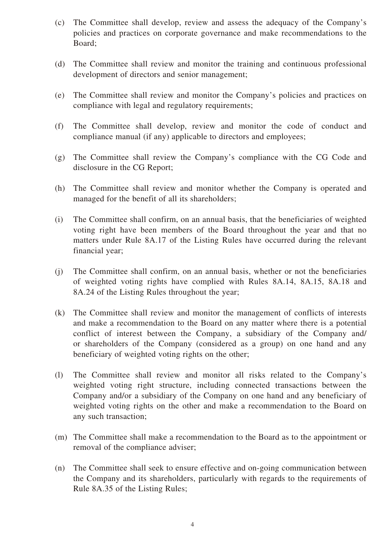- (c) The Committee shall develop, review and assess the adequacy of the Company's policies and practices on corporate governance and make recommendations to the Board;
- (d) The Committee shall review and monitor the training and continuous professional development of directors and senior management;
- (e) The Committee shall review and monitor the Company's policies and practices on compliance with legal and regulatory requirements;
- (f) The Committee shall develop, review and monitor the code of conduct and compliance manual (if any) applicable to directors and employees;
- (g) The Committee shall review the Company's compliance with the CG Code and disclosure in the CG Report;
- (h) The Committee shall review and monitor whether the Company is operated and managed for the benefit of all its shareholders;
- (i) The Committee shall confirm, on an annual basis, that the beneficiaries of weighted voting right have been members of the Board throughout the year and that no matters under Rule 8A.17 of the Listing Rules have occurred during the relevant financial year;
- (j) The Committee shall confirm, on an annual basis, whether or not the beneficiaries of weighted voting rights have complied with Rules 8A.14, 8A.15, 8A.18 and 8A.24 of the Listing Rules throughout the year;
- (k) The Committee shall review and monitor the management of conflicts of interests and make a recommendation to the Board on any matter where there is a potential conflict of interest between the Company, a subsidiary of the Company and/ or shareholders of the Company (considered as a group) on one hand and any beneficiary of weighted voting rights on the other;
- (l) The Committee shall review and monitor all risks related to the Company's weighted voting right structure, including connected transactions between the Company and/or a subsidiary of the Company on one hand and any beneficiary of weighted voting rights on the other and make a recommendation to the Board on any such transaction;
- (m) The Committee shall make a recommendation to the Board as to the appointment or removal of the compliance adviser;
- (n) The Committee shall seek to ensure effective and on-going communication between the Company and its shareholders, particularly with regards to the requirements of Rule 8A.35 of the Listing Rules;